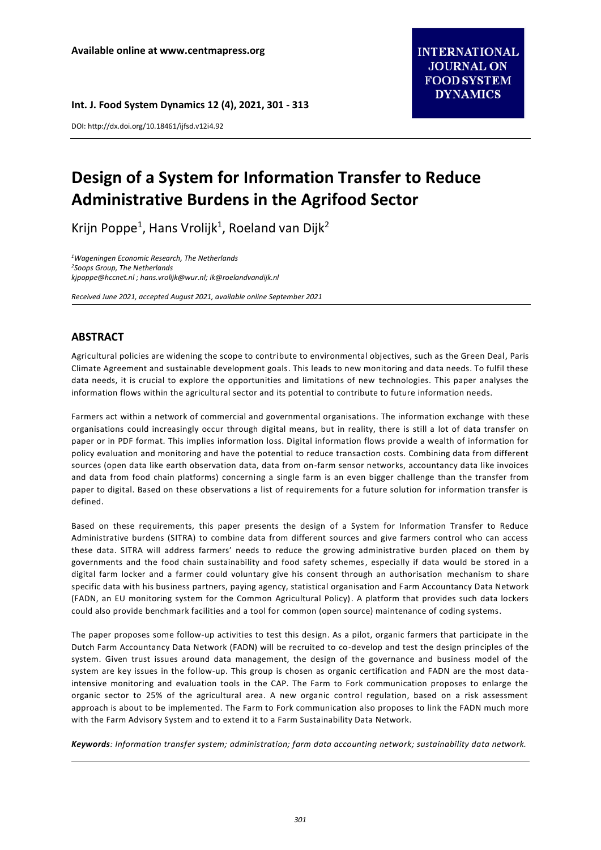**Int. J. Food System Dynamics 12 (4), 2021, 301 - 313**

DOI: http://dx.doi.org/10.18461/ijfsd.v12i4.92

# **Design of a System for Information Transfer to Reduce Administrative Burdens in the Agrifood Sector**

Krijn Poppe<sup>1</sup>, Hans Vrolijk<sup>1</sup>, Roeland van Dijk<sup>2</sup>

*<sup>1</sup>Wageningen Economic Research, The Netherlands <sup>2</sup>Soops Group, The Netherlands [kjpoppe@hccnet.nl](mailto:kjpoppe@hccnet.nl) [; hans.vrolijk@wur.nl;](mailto:hans.vrolijk@wur.nl) ik@roelandvandijk.nl*

*Received June 2021, accepted August 2021, available online September 2021*

# **ABSTRACT**

Agricultural policies are widening the scope to contribute to environmental objectives, such as the Green Deal, Paris Climate Agreement and sustainable development goals. This leads to new monitoring and data needs. To fulfil these data needs, it is crucial to explore the opportunities and limitations of new technologies. This paper analyses the information flows within the agricultural sector and its potential to contribute to future information needs.

Farmers act within a network of commercial and governmental organisations. The information exchange with these organisations could increasingly occur through digital means, but in reality, there is still a lot of data transfer on paper or in PDF format. This implies information loss. Digital information flows provide a wealth of information for policy evaluation and monitoring and have the potential to reduce transaction costs. Combining data from different sources (open data like earth observation data, data from on-farm sensor networks, accountancy data like invoices and data from food chain platforms) concerning a single farm is an even bigger challenge than the transfer from paper to digital. Based on these observations a list of requirements for a future solution for information transfer is defined.

Based on these requirements, this paper presents the design of a System for Information Transfer to Reduce Administrative burdens (SITRA) to combine data from different sources and give farmers control who can access these data. SITRA will address farmers' needs to reduce the growing administrative burden placed on them by governments and the food chain sustainability and food safety schemes, especially if data would be stored in a digital farm locker and a farmer could voluntary give his consent through an authorisation mechanism to share specific data with his business partners, paying agency, statistical organisation and Farm Accountancy Data Network (FADN, an EU monitoring system for the Common Agricultural Policy). A platform that provides such data lockers could also provide benchmark facilities and a tool for common (open source) maintenance of coding systems.

The paper proposes some follow-up activities to test this design. As a pilot, organic farmers that participate in the Dutch Farm Accountancy Data Network (FADN) will be recruited to co-develop and test the design principles of the system. Given trust issues around data management, the design of the governance and business model of the system are key issues in the follow-up. This group is chosen as organic certification and FADN are the most dataintensive monitoring and evaluation tools in the CAP. The Farm to Fork communication proposes to enlarge the organic sector to 25% of the agricultural area. A new organic control regulation, based on a risk assessment approach is about to be implemented. The Farm to Fork communication also proposes to link the FADN much more with the Farm Advisory System and to extend it to a Farm Sustainability Data Network.

*Keywords: Information transfer system; administration; farm data accounting network; sustainability data network.*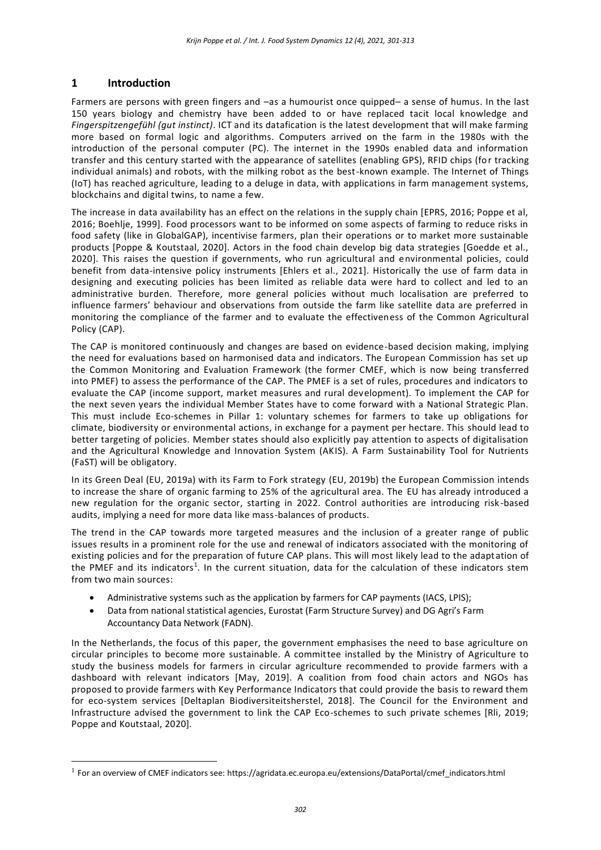## **1 Introduction**

 $\overline{a}$ 

Farmers are persons with green fingers and –as a humourist once quipped– a sense of humus. In the last 150 years biology and chemistry have been added to or have replaced tacit local knowledge and *Fingerspitzengefühl (gut instinct)*. ICT and its datafication is the latest development that will make farming more based on formal logic and algorithms. Computers arrived on the farm in the 1980s with the introduction of the personal computer (PC). The internet in the 1990s enabled data and information transfer and this century started with the appearance of satellites (enabling GPS), RFID chips (for tracking individual animals) and robots, with the milking robot as the best-known example. The Internet of Things (IoT) has reached agriculture, leading to a deluge in data, with applications in farm management systems, blockchains and digital twins, to name a few.

The increase in data availability has an effect on the relations in the supply chain [EPRS, 2016; Poppe et al, 2016; Boehlje, 1999]. Food processors want to be informed on some aspects of farming to reduce risks in food safety (like in GlobalGAP), incentivise farmers, plan their operations or to market more sustainable products [Poppe & Koutstaal, 2020]. Actors in the food chain develop big data strategies [Goedde et al., 2020]. This raises the question if governments, who run agricultural and environmental policies, could benefit from data-intensive policy instruments [Ehlers et al., 2021]. Historically the use of farm data in designing and executing policies has been limited as reliable data were hard to collect and led to an administrative burden. Therefore, more general policies without much localisation are preferred to influence farmers' behaviour and observations from outside the farm like satellite data are preferred in monitoring the compliance of the farmer and to evaluate the effectiveness of the Common Agricultural Policy (CAP).

The CAP is monitored continuously and changes are based on evidence-based decision making, implying the need for evaluations based on harmonised data and indicators. The European Commission has set up the Common Monitoring and Evaluation Framework (the former CMEF, which is now being transferred into PMEF) to assess the performance of the CAP. The PMEF is a set of rules, procedures and indicators to evaluate the CAP (income support, market measures and rural development). To implement the CAP for the next seven years the individual Member States have to come forward with a National Strategic Plan. This must include Eco-schemes in Pillar 1: voluntary schemes for farmers to take up obligations for climate, biodiversity or environmental actions, in exchange for a payment per hectare. This should lead to better targeting of policies. Member states should also explicitly pay attention to aspects of digitalisation and the Agricultural Knowledge and Innovation System (AKIS). A Farm Sustainability Tool for Nutrients (FaST) will be obligatory.

In its Green Deal (EU, 2019a) with its Farm to Fork strategy (EU, 2019b) the European Commission intends to increase the share of organic farming to 25% of the agricultural area. The EU has already introduced a new regulation for the organic sector, starting in 2022. Control authorities are introducing risk -based audits, implying a need for more data like mass-balances of products.

The trend in the CAP towards more targeted measures and the inclusion of a greater range of public issues results in a prominent role for the use and renewal of indicators associated with the monitoring of existing policies and for the preparation of future CAP plans. This will most likely lead to the adaptation of the PMEF and its indicators<sup>1</sup>. In the current situation, data for the calculation of these indicators stem from two main sources:

- Administrative systems such as the application by farmers for CAP payments (IACS, LPIS);
- Data from national statistical agencies, Eurostat (Farm Structure Survey) and DG Agri's Farm Accountancy Data Network (FADN).

In the Netherlands, the focus of this paper, the government emphasises the need to base agriculture on circular principles to become more sustainable. A committee installed by the Ministry of Agriculture to study the business models for farmers in circular agriculture recommended to provide farmers with a dashboard with relevant indicators [May, 2019]. A coalition from food chain actors and NGOs has proposed to provide farmers with Key Performance Indicators that could provide the basis to reward them for eco-system services [Deltaplan Biodiversiteitsherstel, 2018]. The Council for the Environment and Infrastructure advised the government to link the CAP Eco-schemes to such private schemes [Rli, 2019; Poppe and Koutstaal, 2020].

<sup>&</sup>lt;sup>1</sup> For an overview of CMEF indicators see: [https://agridata.ec.europa.eu/extensions/DataPortal/cmef\\_indicators.html](https://agridata.ec.europa.eu/extensions/DataPortal/cmef_indicators.html)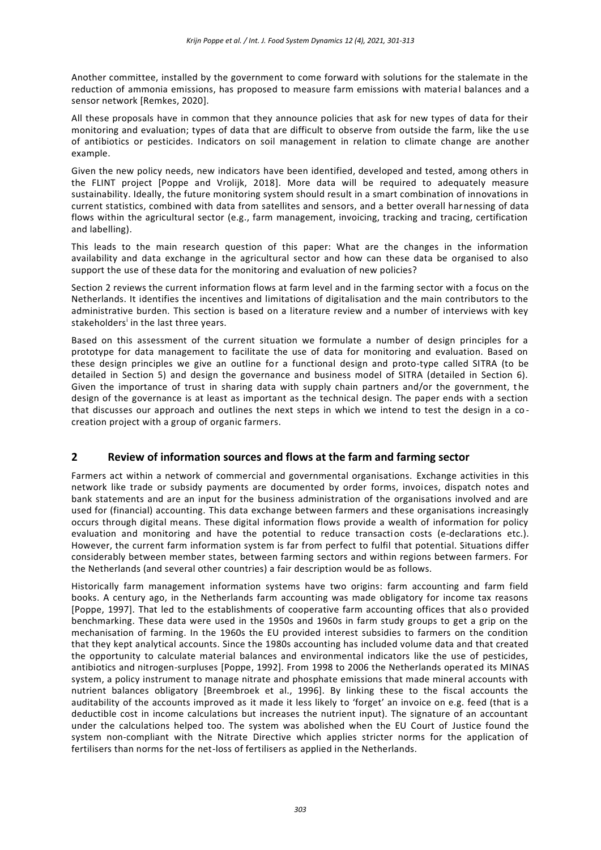Another committee, installed by the government to come forward with solutions for the stalemate in the reduction of ammonia emissions, has proposed to measure farm emissions with material balances and a sensor network [Remkes, 2020].

All these proposals have in common that they announce policies that ask for new types of data for their monitoring and evaluation; types of data that are difficult to observe from outside the farm, like the use of antibiotics or pesticides. Indicators on soil management in relation to climate change are another example.

Given the new policy needs, new indicators have been identified, developed and tested, among others in the FLINT project [Poppe and Vrolijk, 2018]. More data will be required to adequately measure sustainability. Ideally, the future monitoring system should result in a smart combination of innovations in current statistics, combined with data from satellites and sensors, and a better overall harnessing of data flows within the agricultural sector (e.g., farm management, invoicing, tracking and tracing, certification and labelling).

This leads to the main research question of this paper: What are the changes in the information availability and data exchange in the agricultural sector and how can these data be organised to also support the use of these data for the monitoring and evaluation of new policies?

Section 2 reviews the current information flows at farm level and in the farming sector with a focus on the Netherlands. It identifies the incentives and limitations of digitalisation and the main contributors to the administrative burden. This section is based on a literature review and a number of interviews with key stakeholders<sup>i</sup> in the last three years.

Based on this assessment of the current situation we formulate a number of design principles for a prototype for data management to facilitate the use of data for monitoring and evaluation. Based on these design principles we give an outline for a functional design and proto-type called SITRA (to be detailed in Section 5) and design the governance and business model of SITRA (detailed in Section 6). Given the importance of trust in sharing data with supply chain partners and/or the government, t he design of the governance is at least as important as the technical design. The paper ends with a section that discusses our approach and outlines the next steps in which we intend to test the design in a co creation project with a group of organic farmers.

## **2 Review of information sources and flows at the farm and farming sector**

Farmers act within a network of commercial and governmental organisations. Exchange activities in this network like trade or subsidy payments are documented by order forms, invoices, dispatch notes and bank statements and are an input for the business administration of the organisations involved and are used for (financial) accounting. This data exchange between farmers and these organisations increasingly occurs through digital means. These digital information flows provide a wealth of information for policy evaluation and monitoring and have the potential to reduce transaction costs (e-declarations etc.). However, the current farm information system is far from perfect to fulfil that potential. Situations differ considerably between member states, between farming sectors and within regions between farmers. For the Netherlands (and several other countries) a fair description would be as follows.

Historically farm management information systems have two origins: farm accounting and farm field books. A century ago, in the Netherlands farm accounting was made obligatory for income tax reasons [Poppe, 1997]. That led to the establishments of cooperative farm accounting offices that als o provided benchmarking. These data were used in the 1950s and 1960s in farm study groups to get a grip on the mechanisation of farming. In the 1960s the EU provided interest subsidies to farmers on the condition that they kept analytical accounts. Since the 1980s accounting has included volume data and that created the opportunity to calculate material balances and environmental indicators like the use of pesticides, antibiotics and nitrogen-surpluses [Poppe, 1992]. From 1998 to 2006 the Netherlands operated its MINAS system, a policy instrument to manage nitrate and phosphate emissions that made mineral accounts with nutrient balances obligatory [Breembroek et al., 1996]. By linking these to the fiscal accounts the auditability of the accounts improved as it made it less likely to 'forget' an invoice on e.g. feed (that is a deductible cost in income calculations but increases the nutrient input). The signature of an accountant under the calculations helped too. The system was abolished when the EU Court of Justice found the system non-compliant with the Nitrate Directive which applies stricter norms for the application of fertilisers than norms for the net-loss of fertilisers as applied in the Netherlands.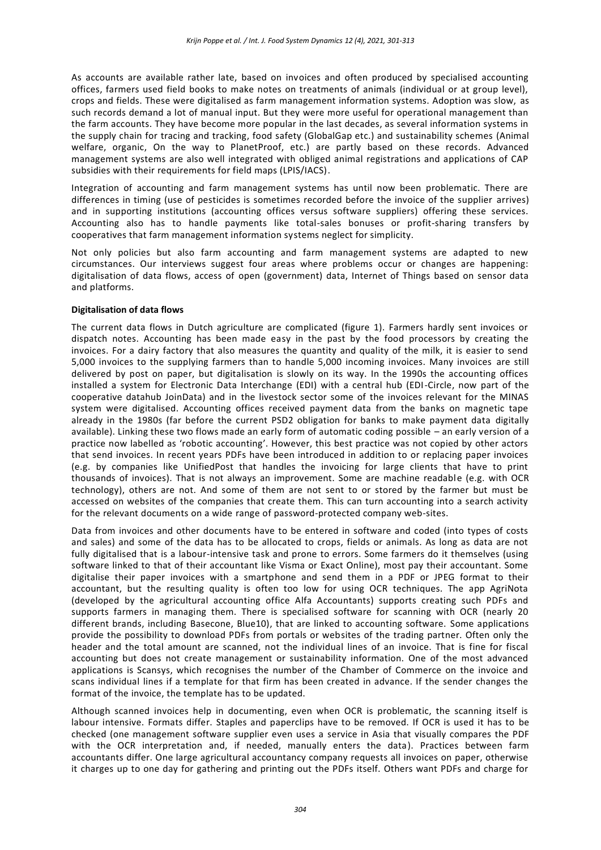As accounts are available rather late, based on invoices and often produced by specialised accounting offices, farmers used field books to make notes on treatments of animals (individual or at group level), crops and fields. These were digitalised as farm management information systems. Adoption was slow, as such records demand a lot of manual input. But they were more useful for operational management than the farm accounts. They have become more popular in the last decades, as several information systems in the supply chain for tracing and tracking, food safety (GlobalGap etc.) and sustainability schemes (Animal welfare, organic, On the way to PlanetProof, etc.) are partly based on these records. Advanced management systems are also well integrated with obliged animal registrations and applications of CAP subsidies with their requirements for field maps (LPIS/IACS).

Integration of accounting and farm management systems has until now been problematic. There are differences in timing (use of pesticides is sometimes recorded before the invoice of the supplier arrives) and in supporting institutions (accounting offices versus software suppliers) offering these services. Accounting also has to handle payments like total-sales bonuses or profit-sharing transfers by cooperatives that farm management information systems neglect for simplicity.

Not only policies but also farm accounting and farm management systems are adapted to new circumstances. Our interviews suggest four areas where problems occur or changes are happening: digitalisation of data flows, access of open (government) data, Internet of Things based on sensor data and platforms.

#### **Digitalisation of data flows**

The current data flows in Dutch agriculture are complicated (figure 1). Farmers hardly sent invoices or dispatch notes. Accounting has been made easy in the past by the food processors by creating the invoices. For a dairy factory that also measures the quantity and quality of the milk, it is easier to send 5,000 invoices to the supplying farmers than to handle 5,000 incoming invoices. Many invoices are still delivered by post on paper, but digitalisation is slowly on its way. In the 1990s the accounting offices installed a system for Electronic Data Interchange (EDI) with a central hub (EDI-Circle, now part of the cooperative datahub JoinData) and in the livestock sector some of the invoices relevant for the MINAS system were digitalised. Accounting offices received payment data from the banks on magnetic tape already in the 1980s (far before the current PSD2 obligation for banks to make payment data digitally available). Linking these two flows made an early form of automatic coding possible – an early version of a practice now labelled as 'robotic accounting'. However, this best practice was not copied by other actors that send invoices. In recent years PDFs have been introduced in addition to or replacing paper invoices (e.g. by companies like UnifiedPost that handles the invoicing for large clients that have to print thousands of invoices). That is not always an improvement. Some are machine readable (e.g. with OCR technology), others are not. And some of them are not sent to or stored by the farmer but must be accessed on websites of the companies that create them. This can turn accounting into a search activity for the relevant documents on a wide range of password-protected company web-sites.

Data from invoices and other documents have to be entered in software and coded (into types of costs and sales) and some of the data has to be allocated to crops, fields or animals. As long as data are not fully digitalised that is a labour-intensive task and prone to errors. Some farmers do it themselves (using software linked to that of their accountant like Visma or Exact Online), most pay their accountant. Some digitalise their paper invoices with a smartphone and send them in a PDF or JPEG format to their accountant, but the resulting quality is often too low for using OCR techniques. The app AgriNota (developed by the agricultural accounting office Alfa Accountants) supports creating such PDFs and supports farmers in managing them. There is specialised software for scanning with OCR (nearly 20 different brands, including Basecone, Blue10), that are linked to accounting software. Some applications provide the possibility to download PDFs from portals or websites of the trading partner. Often only the header and the total amount are scanned, not the individual lines of an invoice. That is fine for fiscal accounting but does not create management or sustainability information. One of the most advanced applications is Scansys, which recognises the number of the Chamber of Commerce on the invoice and scans individual lines if a template for that firm has been created in advance. If the sender changes the format of the invoice, the template has to be updated.

Although scanned invoices help in documenting, even when OCR is problematic, the scanning itself is labour intensive. Formats differ. Staples and paperclips have to be removed. If OCR is used it has to be checked (one management software supplier even uses a service in Asia that visually compares the PDF with the OCR interpretation and, if needed, manually enters the data). Practices between farm accountants differ. One large agricultural accountancy company requests all invoices on paper, otherwise it charges up to one day for gathering and printing out the PDFs itself. Others want PDFs and charge for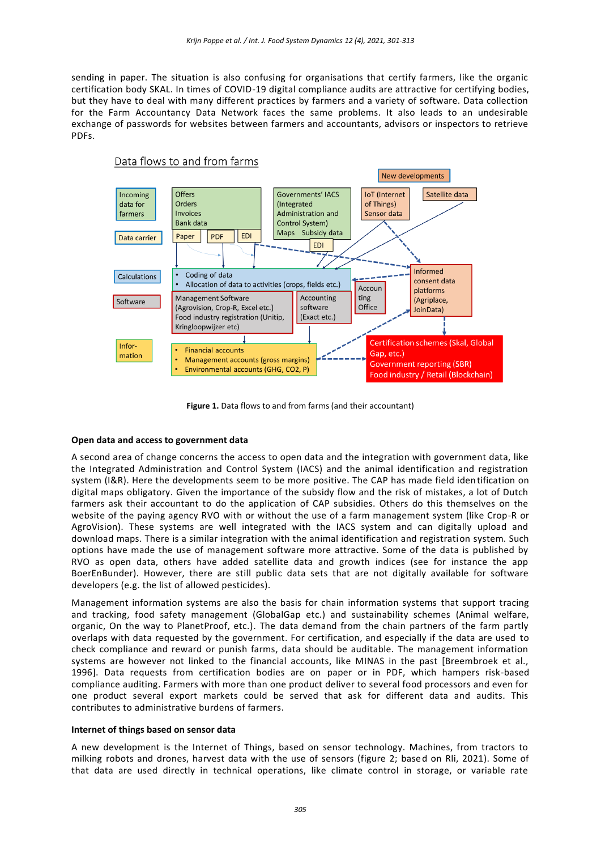sending in paper. The situation is also confusing for organisations that certify farmers, like the organic certification body SKAL. In times of COVID-19 digital compliance audits are attractive for certifying bodies, but they have to deal with many different practices by farmers and a variety of software. Data collection for the Farm Accountancy Data Network faces the same problems. It also leads to an undesirable exchange of passwords for websites between farmers and accountants, advisors or inspectors to retrieve PDFs.



**Figure 1.** Data flows to and from farms (and their accountant)

#### **Open data and access to government data**

A second area of change concerns the access to open data and the integration with government data, like the Integrated Administration and Control System (IACS) and the animal identification and registration system (I&R). Here the developments seem to be more positive. The CAP has made field identification on digital maps obligatory. Given the importance of the subsidy flow and the risk of mistakes, a lot of Dutch farmers ask their accountant to do the application of CAP subsidies. Others do this themselves on the website of the paying agency RVO with or without the use of a farm management system (like Crop-R or AgroVision). These systems are well integrated with the IACS system and can digitally upload and download maps. There is a similar integration with the animal identification and registration system. Such options have made the use of management software more attractive. Some of the data is published by RVO as open data, others have added satellite data and growth indices (see for instance the app BoerEnBunder). However, there are still public data sets that are not digitally available for software developers (e.g. the list of allowed pesticides).

Management information systems are also the basis for chain information systems that support tracing and tracking, food safety management (GlobalGap etc.) and sustainability schemes (Animal welfare, organic, On the way to PlanetProof, etc.). The data demand from the chain partners of the farm partly overlaps with data requested by the government. For certification, and especially if the data are used to check compliance and reward or punish farms, data should be auditable. The management information systems are however not linked to the financial accounts, like MINAS in the past [Breembroek et al., 1996]. Data requests from certification bodies are on paper or in PDF, which hampers risk-based compliance auditing. Farmers with more than one product deliver to several food processors and even for one product several export markets could be served that ask for different data and audits. This contributes to administrative burdens of farmers.

#### **Internet of things based on sensor data**

A new development is the Internet of Things, based on sensor technology. Machines, from tractors to milking robots and drones, harvest data with the use of sensors (figure 2; based on Rli, 2021). Some of that data are used directly in technical operations, like climate control in storage, or variable rate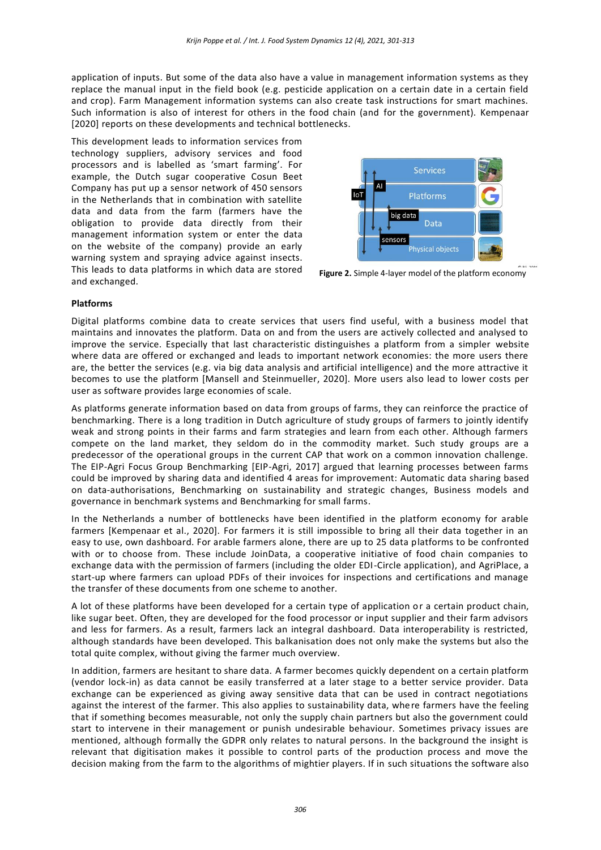application of inputs. But some of the data also have a value in management information systems as they replace the manual input in the field book (e.g. pesticide application on a certain date in a certain field and crop). Farm Management information systems can also create task instructions for smart machines. Such information is also of interest for others in the food chain (and for the government). Kempenaar [2020] reports on these developments and technical bottlenecks.

This development leads to information services from technology suppliers, advisory services and food processors and is labelled as 'smart farming'. For example, the Dutch sugar cooperative Cosun Beet Company has put up a sensor network of 450 sensors in the Netherlands that in combination with satellite data and data from the farm (farmers have the obligation to provide data directly from their management information system or enter the data on the website of the company) provide an early warning system and spraying advice against insects. This leads to data platforms in which data are stored and exchanged.



**Figure 2.** Simple 4-layer model of the platform economy

#### **Platforms**

Digital platforms combine data to create services that users find useful, with a business model that maintains and innovates the platform. Data on and from the users are actively collected and analysed to improve the service. Especially that last characteristic distinguishes a platform from a simpler website where data are offered or exchanged and leads to important network economies: the more users there are, the better the services (e.g. via big data analysis and artificial intelligence) and the more attractive it becomes to use the platform [Mansell and Steinmueller, 2020]. More users also lead to lower costs per user as software provides large economies of scale.

As platforms generate information based on data from groups of farms, they can reinforce the practice of benchmarking. There is a long tradition in Dutch agriculture of study groups of farmers to jointly identify weak and strong points in their farms and farm strategies and learn from each other. Although farmers compete on the land market, they seldom do in the commodity market. Such study groups are a predecessor of the operational groups in the current CAP that work on a common innovation challenge. The EIP-Agri Focus Group Benchmarking [EIP-Agri, 2017] argued that learning processes between farms could be improved by sharing data and identified 4 areas for improvement: Automatic data sharing based on data-authorisations, Benchmarking on sustainability and strategic changes, Business models and governance in benchmark systems and Benchmarking for small farms.

In the Netherlands a number of bottlenecks have been identified in the platform economy for arable farmers [Kempenaar et al., 2020]. For farmers it is still impossible to bring all their data together in an easy to use, own dashboard. For arable farmers alone, there are up to 25 data platforms to be confronted with or to choose from. These include JoinData, a cooperative initiative of food chain companies to exchange data with the permission of farmers (including the older EDI-Circle application), and AgriPlace, a start-up where farmers can upload PDFs of their invoices for inspections and certifications and manage the transfer of these documents from one scheme to another.

A lot of these platforms have been developed for a certain type of application or a certain product chain, like sugar beet. Often, they are developed for the food processor or input supplier and their farm advisors and less for farmers. As a result, farmers lack an integral dashboard. Data interoperability is restricted, although standards have been developed. This balkanisation does not only make the systems but also the total quite complex, without giving the farmer much overview.

In addition, farmers are hesitant to share data. A farmer becomes quickly dependent on a certain platform (vendor lock-in) as data cannot be easily transferred at a later stage to a better service provider. Data exchange can be experienced as giving away sensitive data that can be used in contract negotiations against the interest of the farmer. This also applies to sustainability data, where farmers have the feeling that if something becomes measurable, not only the supply chain partners but also the government could start to intervene in their management or punish undesirable behaviour. Sometimes privacy issues are mentioned, although formally the GDPR only relates to natural persons. In the background the insight is relevant that digitisation makes it possible to control parts of the production process and move the decision making from the farm to the algorithms of mightier players. If in such situations the software also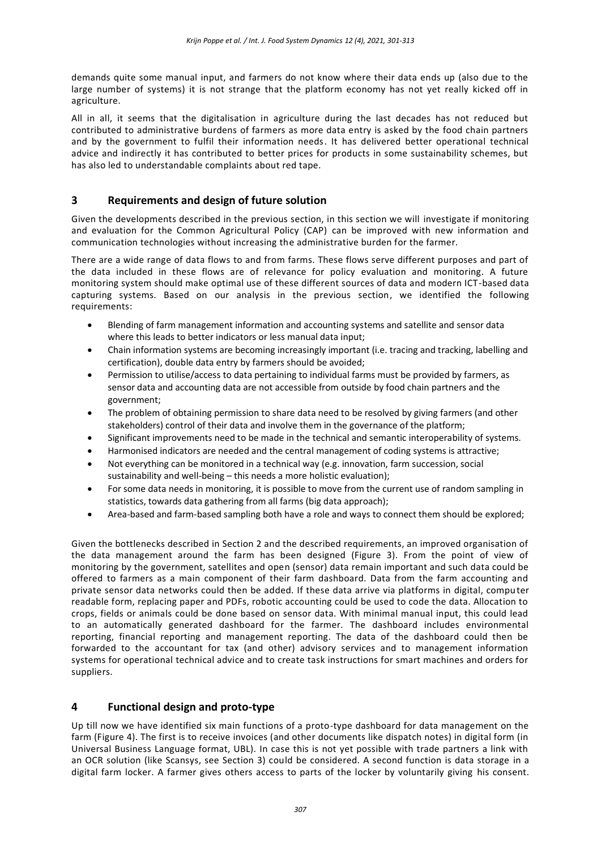demands quite some manual input, and farmers do not know where their data ends up (also due to the large number of systems) it is not strange that the platform economy has not yet really kicked off in agriculture.

All in all, it seems that the digitalisation in agriculture during the last decades has not reduced but contributed to administrative burdens of farmers as more data entry is asked by the food chain partners and by the government to fulfil their information needs. It has delivered better operational technical advice and indirectly it has contributed to better prices for products in some sustainability schemes, but has also led to understandable complaints about red tape.

# **3 Requirements and design of future solution**

Given the developments described in the previous section, in this section we will investigate if monitoring and evaluation for the Common Agricultural Policy (CAP) can be improved with new information and communication technologies without increasing the administrative burden for the farmer.

There are a wide range of data flows to and from farms. These flows serve different purposes and part of the data included in these flows are of relevance for policy evaluation and monitoring. A future monitoring system should make optimal use of these different sources of data and modern ICT-based data capturing systems. Based on our analysis in the previous section, we identified the following requirements:

- Blending of farm management information and accounting systems and satellite and sensor data where this leads to better indicators or less manual data input;
- Chain information systems are becoming increasingly important (i.e. tracing and tracking, labelling and certification), double data entry by farmers should be avoided;
- Permission to utilise/access to data pertaining to individual farms must be provided by farmers, as sensor data and accounting data are not accessible from outside by food chain partners and the government;
- The problem of obtaining permission to share data need to be resolved by giving farmers (and other stakeholders) control of their data and involve them in the governance of the platform;
- Significant improvements need to be made in the technical and semantic interoperability of systems.
- Harmonised indicators are needed and the central management of coding systems is attractive;
- Not everything can be monitored in a technical way (e.g. innovation, farm succession, social sustainability and well-being – this needs a more holistic evaluation);
- For some data needs in monitoring, it is possible to move from the current use of random sampling in statistics, towards data gathering from all farms (big data approach);
- Area-based and farm-based sampling both have a role and ways to connect them should be explored;

Given the bottlenecks described in Section 2 and the described requirements, an improved organisation of the data management around the farm has been designed (Figure 3). From the point of view of monitoring by the government, satellites and open (sensor) data remain important and such data could be offered to farmers as a main component of their farm dashboard. Data from the farm accounting and private sensor data networks could then be added. If these data arrive via platforms in digital, computer readable form, replacing paper and PDFs, robotic accounting could be used to code the data. Allocation to crops, fields or animals could be done based on sensor data. With minimal manual input, this could lead to an automatically generated dashboard for the farmer. The dashboard includes environmental reporting, financial reporting and management reporting. The data of the dashboard could then be forwarded to the accountant for tax (and other) advisory services and to management information systems for operational technical advice and to create task instructions for smart machines and orders for suppliers.

# **4 Functional design and proto-type**

Up till now we have identified six main functions of a proto-type dashboard for data management on the farm (Figure 4). The first is to receive invoices (and other documents like dispatch notes) in digital form (in Universal Business Language format, UBL). In case this is not yet possible with trade partners a link with an OCR solution (like Scansys, see Section 3) could be considered. A second function is data storage in a digital farm locker. A farmer gives others access to parts of the locker by voluntarily giving his consent.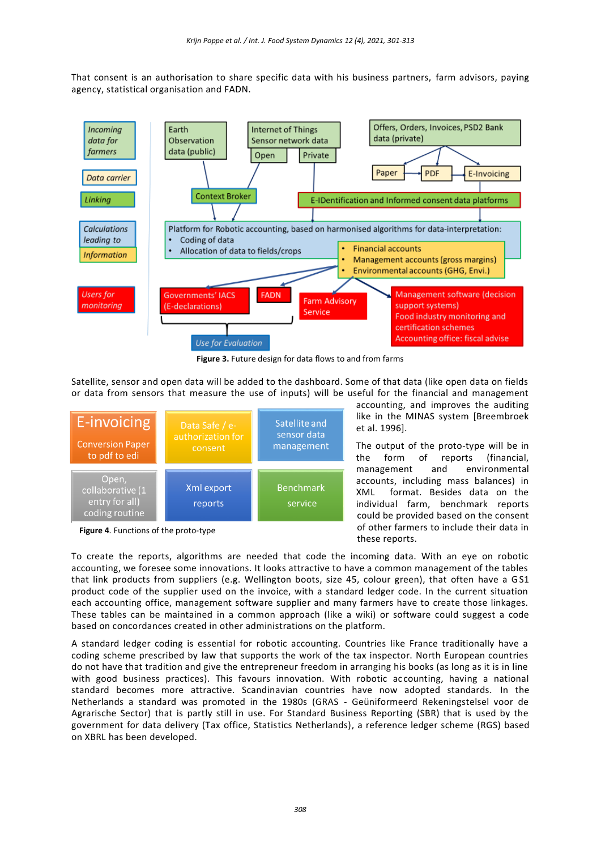That consent is an authorisation to share specific data with his business partners, farm advisors, paying agency, statistical organisation and FADN.



**Figure 3.** Future design for data flows to and from farms

Satellite, sensor and open data will be added to the dashboard. Some of that data (like open data on fields or data from sensors that measure the use of inputs) will be useful for the financial and management



**Figure 4***.* Functions of the proto-type

accounting, and improves the auditing like in the MINAS system [Breembroek et al. 1996].

The output of the proto-type will be in the form of reports (financial, management and environmental accounts, including mass balances) in XML format. Besides data on the individual farm, benchmark reports could be provided based on the consent of other farmers to include their data in these reports.

To create the reports, algorithms are needed that code the incoming data. With an eye on robotic accounting, we foresee some innovations. It looks attractive to have a common management of the tables that link products from suppliers (e.g. Wellington boots, size 45, colour green), that often have a GS1 product code of the supplier used on the invoice, with a standard ledger code. In the current situation each accounting office, management software supplier and many farmers have to create those linkages. These tables can be maintained in a common approach (like a wiki) or software could suggest a code based on concordances created in other administrations on the platform.

A standard ledger coding is essential for robotic accounting. Countries like France traditionally have a coding scheme prescribed by law that supports the work of the tax inspector. North European countries do not have that tradition and give the entrepreneur freedom in arranging his books (as long as it is in line with good business practices). This favours innovation. With robotic ac counting, having a national standard becomes more attractive. Scandinavian countries have now adopted standards. In the Netherlands a standard was promoted in the 1980s (GRAS - Geüniformeerd Rekeningstelsel voor de Agrarische Sector) that is partly still in use. For Standard Business Reporting (SBR) that is used by the government for data delivery (Tax office, Statistics Netherlands), a reference ledger scheme (RGS) based on XBRL has been developed.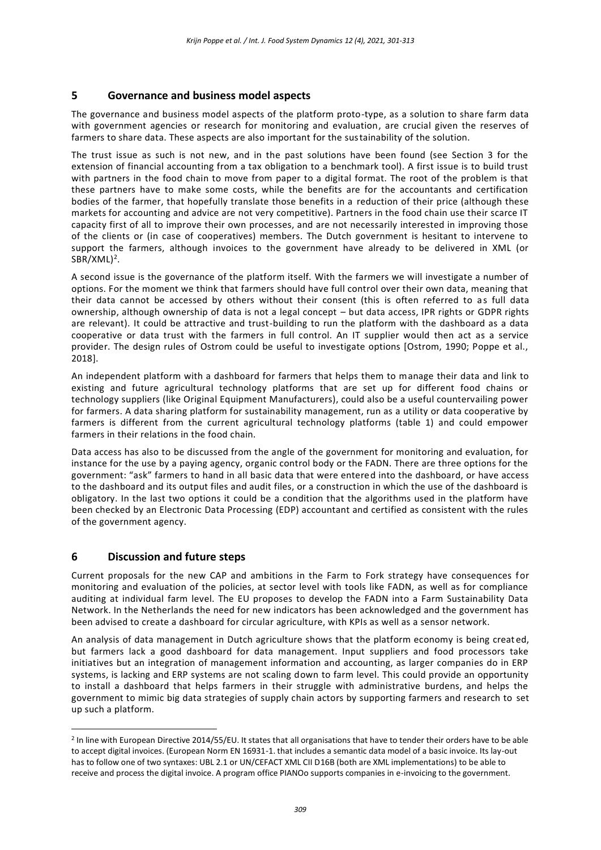## **5 Governance and business model aspects**

The governance and business model aspects of the platform proto-type, as a solution to share farm data with government agencies or research for monitoring and evaluation, are crucial given the reserves of farmers to share data. These aspects are also important for the sustainability of the solution.

The trust issue as such is not new, and in the past solutions have been found (see Section 3 for the extension of financial accounting from a tax obligation to a benchmark tool). A first issue is to build trust with partners in the food chain to move from paper to a digital format. The root of the problem is that these partners have to make some costs, while the benefits are for the accountants and certification bodies of the farmer, that hopefully translate those benefits in a reduction of their price (although these markets for accounting and advice are not very competitive). Partners in the food chain use their scarce IT capacity first of all to improve their own processes, and are not necessarily interested in improving those of the clients or (in case of cooperatives) members. The Dutch government is hesitant to intervene to support the farmers, although invoices to the government have already to be delivered in XML (or  $SBR/XML)^2$ .

A second issue is the governance of the platform itself. With the farmers we will investigate a number of options. For the moment we think that farmers should have full control over their own data, meaning that their data cannot be accessed by others without their consent (this is often referred to as full data ownership, although ownership of data is not a legal concept – but data access, IPR rights or GDPR rights are relevant). It could be attractive and trust-building to run the platform with the dashboard as a data cooperative or data trust with the farmers in full control. An IT supplier would then act as a service provider. The design rules of Ostrom could be useful to investigate options [Ostrom, 1990; Poppe et al., 2018].

An independent platform with a dashboard for farmers that helps them to manage their data and link to existing and future agricultural technology platforms that are set up for different food chains or technology suppliers (like Original Equipment Manufacturers), could also be a useful countervailing power for farmers. A data sharing platform for sustainability management, run as a utility or data cooperative by farmers is different from the current agricultural technology platforms (table 1) and could empower farmers in their relations in the food chain.

Data access has also to be discussed from the angle of the government for monitoring and evaluation, for instance for the use by a paying agency, organic control body or the FADN. There are three options for the government: "ask" farmers to hand in all basic data that were entered into the dashboard, or have access to the dashboard and its output files and audit files, or a construction in which the use of the dashboard is obligatory. In the last two options it could be a condition that the algorithms used in the platform have been checked by an Electronic Data Processing (EDP) accountant and certified as consistent with the rules of the government agency.

# **6 Discussion and future steps**

 $\overline{a}$ 

Current proposals for the new CAP and ambitions in the Farm to Fork strategy have consequences for monitoring and evaluation of the policies, at sector level with tools like FADN, as well as for compliance auditing at individual farm level. The EU proposes to develop the FADN into a Farm Sustainability Data Network. In the Netherlands the need for new indicators has been acknowledged and the government has been advised to create a dashboard for circular agriculture, with KPIs as well as a sensor network.

An analysis of data management in Dutch agriculture shows that the platform economy is being creat ed, but farmers lack a good dashboard for data management. Input suppliers and food processors take initiatives but an integration of management information and accounting, as larger companies do in ERP systems, is lacking and ERP systems are not scaling down to farm level. This could provide an opportunity to install a dashboard that helps farmers in their struggle with administrative burdens, and helps the government to mimic big data strategies of supply chain actors by supporting farmers and research to set up such a platform.

<sup>2</sup> In line with European Directive 2014/55/EU. It states that all organisations that have to tender their orders have to be able to accept digital invoices. (European Norm EN 16931-1. that includes a semantic data model of a basic invoice. Its lay-out has to follow one of two syntaxes: UBL 2.1 or UN/CEFACT XML CII D16B (both are XML implementations) to be able to receive and process the digital invoice. A program office PIANOo supports companies in e-invoicing to the government.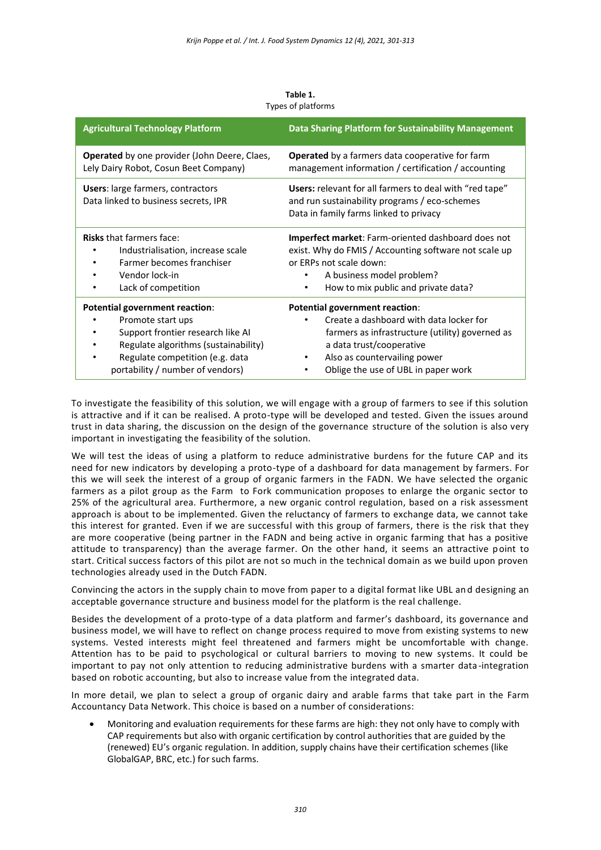| <b>Agricultural Technology Platform</b>                                          | Data Sharing Platform for Sustainability Management                                                                                                |
|----------------------------------------------------------------------------------|----------------------------------------------------------------------------------------------------------------------------------------------------|
| <b>Operated</b> by one provider (John Deere, Claes,                              | <b>Operated</b> by a farmers data cooperative for farm                                                                                             |
| Lely Dairy Robot, Cosun Beet Company)                                            | management information / certification / accounting                                                                                                |
| <b>Users:</b> large farmers, contractors<br>Data linked to business secrets, IPR | Users: relevant for all farmers to deal with "red tape"<br>and run sustainability programs / eco-schemes<br>Data in family farms linked to privacy |
| <b>Risks that farmers face:</b>                                                  | <b>Imperfect market:</b> Farm-oriented dashboard does not                                                                                          |
| Industrialisation, increase scale                                                | exist. Why do FMIS / Accounting software not scale up                                                                                              |
| Farmer becomes franchiser                                                        | or ERPs not scale down:                                                                                                                            |
| Vendor lock-in                                                                   | A business model problem?                                                                                                                          |
| Lack of competition                                                              | How to mix public and private data?                                                                                                                |
| Potential government reaction:                                                   | Potential government reaction:                                                                                                                     |
| Promote start ups                                                                | Create a dashboard with data locker for                                                                                                            |
| Support frontier research like AI                                                | farmers as infrastructure (utility) governed as                                                                                                    |
| Regulate algorithms (sustainability)                                             | a data trust/cooperative                                                                                                                           |
| Regulate competition (e.g. data                                                  | Also as countervailing power                                                                                                                       |
| portability / number of vendors)                                                 | Oblige the use of UBL in paper work                                                                                                                |

**Table 1.** Types of platforms

To investigate the feasibility of this solution, we will engage with a group of farmers to see if this solution is attractive and if it can be realised. A proto-type will be developed and tested. Given the issues around trust in data sharing, the discussion on the design of the governance structure of the solution is also very important in investigating the feasibility of the solution.

We will test the ideas of using a platform to reduce administrative burdens for the future CAP and its need for new indicators by developing a proto-type of a dashboard for data management by farmers. For this we will seek the interest of a group of organic farmers in the FADN. We have selected the organic farmers as a pilot group as the Farm to Fork communication proposes to enlarge the organic sector to 25% of the agricultural area. Furthermore, a new organic control regulation, based on a risk assessment approach is about to be implemented. Given the reluctancy of farmers to exchange data, we cannot take this interest for granted. Even if we are successful with this group of farmers, there is the risk that they are more cooperative (being partner in the FADN and being active in organic farming that has a positive attitude to transparency) than the average farmer. On the other hand, it seems an attractive point to start. Critical success factors of this pilot are not so much in the technical domain as we build upon proven technologies already used in the Dutch FADN.

Convincing the actors in the supply chain to move from paper to a digital format like UBL an d designing an acceptable governance structure and business model for the platform is the real challenge.

Besides the development of a proto-type of a data platform and farmer's dashboard, its governance and business model, we will have to reflect on change process required to move from existing systems to new systems. Vested interests might feel threatened and farmers might be uncomfortable with change. Attention has to be paid to psychological or cultural barriers to moving to new systems. It could be important to pay not only attention to reducing administrative burdens with a smarter data -integration based on robotic accounting, but also to increase value from the integrated data.

In more detail, we plan to select a group of organic dairy and arable farms that take part in the Farm Accountancy Data Network. This choice is based on a number of considerations:

• Monitoring and evaluation requirements for these farms are high: they not only have to comply with CAP requirements but also with organic certification by control authorities that are guided by the (renewed) EU's organic regulation. In addition, supply chains have their certification schemes (like GlobalGAP, BRC, etc.) for such farms.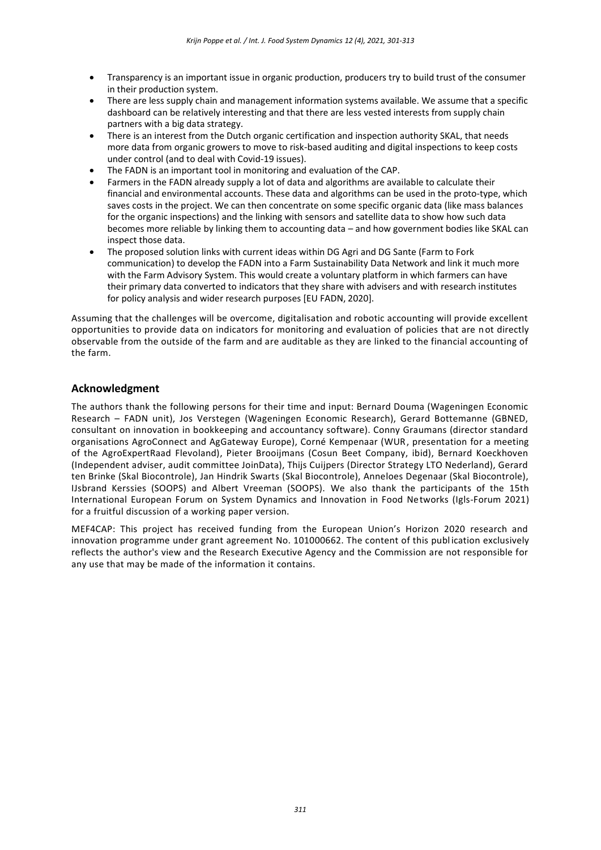- Transparency is an important issue in organic production, producers try to build trust of the consumer in their production system.
- There are less supply chain and management information systems available. We assume that a specific dashboard can be relatively interesting and that there are less vested interests from supply chain partners with a big data strategy.
- There is an interest from the Dutch organic certification and inspection authority SKAL, that needs more data from organic growers to move to risk-based auditing and digital inspections to keep costs under control (and to deal with Covid-19 issues).
- The FADN is an important tool in monitoring and evaluation of the CAP.
- Farmers in the FADN already supply a lot of data and algorithms are available to calculate their financial and environmental accounts. These data and algorithms can be used in the proto-type, which saves costs in the project. We can then concentrate on some specific organic data (like mass balances for the organic inspections) and the linking with sensors and satellite data to show how such data becomes more reliable by linking them to accounting data – and how government bodies like SKAL can inspect those data.
- The proposed solution links with current ideas within DG Agri and DG Sante (Farm to Fork communication) to develop the FADN into a Farm Sustainability Data Network and link it much more with the Farm Advisory System. This would create a voluntary platform in which farmers can have their primary data converted to indicators that they share with advisers and with research institutes for policy analysis and wider research purposes [EU FADN, 2020].

Assuming that the challenges will be overcome, digitalisation and robotic accounting will provide excellent opportunities to provide data on indicators for monitoring and evaluation of policies that are not directly observable from the outside of the farm and are auditable as they are linked to the financial accounting of the farm.

## **Acknowledgment**

The authors thank the following persons for their time and input: Bernard Douma (Wageningen Economic Research – FADN unit), Jos Verstegen (Wageningen Economic Research), Gerard Bottemanne (GBNED, consultant on innovation in bookkeeping and accountancy software). Conny Graumans (director standard organisations AgroConnect and AgGateway Europe), Corné Kempenaar (WUR, presentation for a meeting of the AgroExpertRaad Flevoland), Pieter Brooijmans (Cosun Beet Company, ibid), Bernard Koeckhoven (Independent adviser, audit committee JoinData), Thijs Cuijpers (Director Strategy LTO Nederland), Gerard ten Brinke (Skal Biocontrole), Jan Hindrik Swarts (Skal Biocontrole), Anneloes Degenaar (Skal Biocontrole), IJsbrand Kerssies (SOOPS) and Albert Vreeman (SOOPS). We also thank the participants of the 15th International European Forum on System Dynamics and Innovation in Food Networks (Igls-Forum 2021) for a fruitful discussion of a working paper version.

MEF4CAP: This project has received funding from the European Union's Horizon 2020 research and innovation programme under grant agreement No. 101000662. The content of this publ ication exclusively reflects the author's view and the Research Executive Agency and the Commission are not responsible for any use that may be made of the information it contains.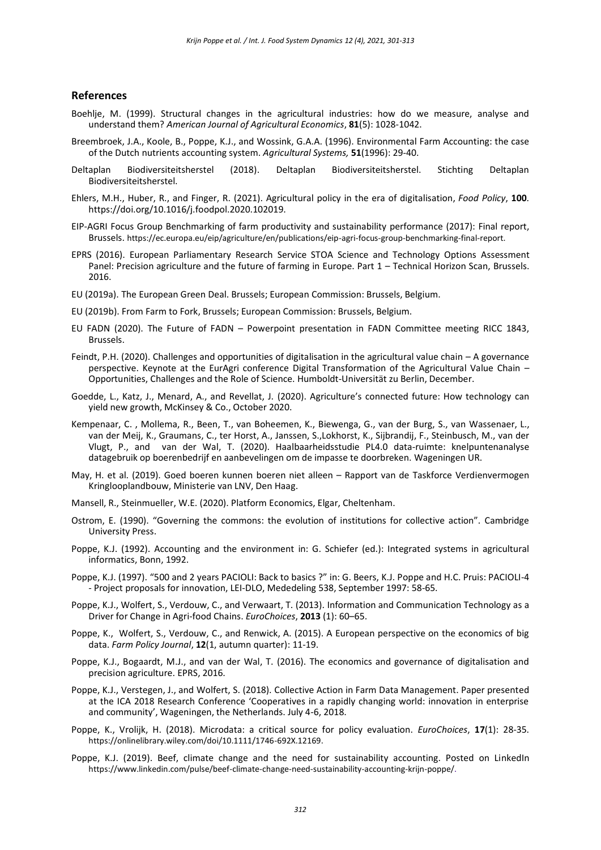#### **References**

- Boehlje, M. (1999). Structural changes in the agricultural industries: how do we measure, analyse and understand them? *American Journal of Agricultural Economics*, **81**(5): 1028-1042.
- Breembroek, J.A., Koole, B., Poppe, K.J., and Wossink, G.A.A. (1996). Environmental Farm Accounting: the case of the Dutch nutrients accounting system. *Agricultural Systems,* **51**(1996): 29-40.
- Deltaplan Biodiversiteitsherstel (2018). Deltaplan Biodiversiteitsherstel. Stichting Deltaplan Biodiversiteitsherstel.
- Ehlers, M.H., Huber, R., and Finger, R. (2021). Agricultural policy in the era of digitalisation, *Food Policy*, **100**. https://doi.org/10.1016/j.foodpol.2020.102019.
- EIP-AGRI Focus Group Benchmarking of farm productivity and sustainability performance (2017): Final report, Brussels. [https://ec.europa.eu/eip/agriculture/en/publications/eip-agri-focus-group-benchmarking-final-report.](https://ec.europa.eu/eip/agriculture/en/publications/eip-agri-focus-group-benchmarking-final-report)
- EPRS (2016). European Parliamentary Research Service STOA Science and Technology Options Assessment Panel: Precision agriculture and the future of farming in Europe. Part 1 – Technical Horizon Scan, Brussels. 2016.
- EU (2019a). The European Green Deal. Brussels; European Commission: Brussels, Belgium.
- EU (2019b). From Farm to Fork, Brussels; European Commission: Brussels, Belgium.
- EU FADN (2020). The Future of FADN Powerpoint presentation in FADN Committee meeting RICC 1843, Brussels.
- Feindt, P.H. (2020). Challenges and opportunities of digitalisation in the agricultural value chain A governance perspective. Keynote at the EurAgri conference Digital Transformation of the Agricultural Value Chain – Opportunities, Challenges and the Role of Science. Humboldt-Universität zu Berlin, December.
- Goedde, L., Katz, J., Menard, A., and Revellat, J. (2020). Agriculture's connected future: How technology can yield new growth, McKinsey & Co., October 2020.
- Kempenaar, C. , Mollema, R., Been, T., van Boheemen, K., Biewenga, G., van der Burg, S., van Wassenaer, L., van der Meij, K., Graumans, C., ter Horst, A., Janssen, S.,Lokhorst, K., Sijbrandij, F., Steinbusch, M., van der Vlugt, P., and van der Wal, T. (2020). Haalbaarheidsstudie PL4.0 data-ruimte: knelpuntenanalyse datagebruik op boerenbedrijf en aanbevelingen om de impasse te doorbreken. Wageningen UR.
- May, H. et al. (2019). Goed boeren kunnen boeren niet alleen Rapport van de Taskforce Verdienvermogen Kringlooplandbouw, Ministerie van LNV, Den Haag.
- Mansell, R., Steinmueller, W.E. (2020). Platform Economics, Elgar, Cheltenham.
- Ostrom, E. (1990). "Governing the commons: the evolution of institutions for collective action". Cambridge University Press.
- Poppe, K.J. (1992). Accounting and the environment in: G. Schiefer (ed.): Integrated systems in agricultural informatics, Bonn, 1992.
- Poppe, K.J. (1997). "500 and 2 years PACIOLI: Back to basics ?" in: G. Beers, K.J. Poppe and H.C. Pruis: PACIOLI-4 - Project proposals for innovation, LEI-DLO, Mededeling 538, September 1997: 58-65.
- Poppe, K.J., Wolfert, S., Verdouw, C., and Verwaart, T. (2013). Information and Communication Technology as a Driver for Change in Agri-food Chains. *EuroChoices*, **2013** (1): 60–65.
- Poppe, K., Wolfert, S., Verdouw, C., and Renwick, A. (2015). A European perspective on the economics of big data. *Farm Policy Journal*, **12**(1, autumn quarter): 11-19.
- Poppe, K.J., Bogaardt, M.J., and van der Wal, T. (2016). The economics and governance of digitalisation and precision agriculture. EPRS, 2016.
- Poppe, K.J., Verstegen, J., and Wolfert, S. (2018). Collective Action in Farm Data Management. Paper presented at the ICA 2018 Research Conference 'Cooperatives in a rapidly changing world: innovation in enterprise and community', Wageningen, the Netherlands. July 4-6, 2018.
- Poppe, K., Vrolijk, H. (2018). Microdata: a critical source for policy evaluation. *EuroChoices*, **17**(1): 28-35. [https://onlinelibrary.wiley.com/doi/10.1111/1746-692X.12169.](https://onlinelibrary.wiley.com/doi/10.1111/1746-692X.12169)
- Poppe, K.J. (2019). Beef, climate change and the need for sustainability accounting. Posted on LinkedI[n](https://www.linkedin.com/pulse/beef-climate-change-need-sustainability-accounting-krijn-poppe/) [https://www.linkedin.com/pulse/beef-climate-change-need-sustainability-accounting-krijn-poppe/.](https://www.linkedin.com/pulse/beef-climate-change-need-sustainability-accounting-krijn-poppe/)